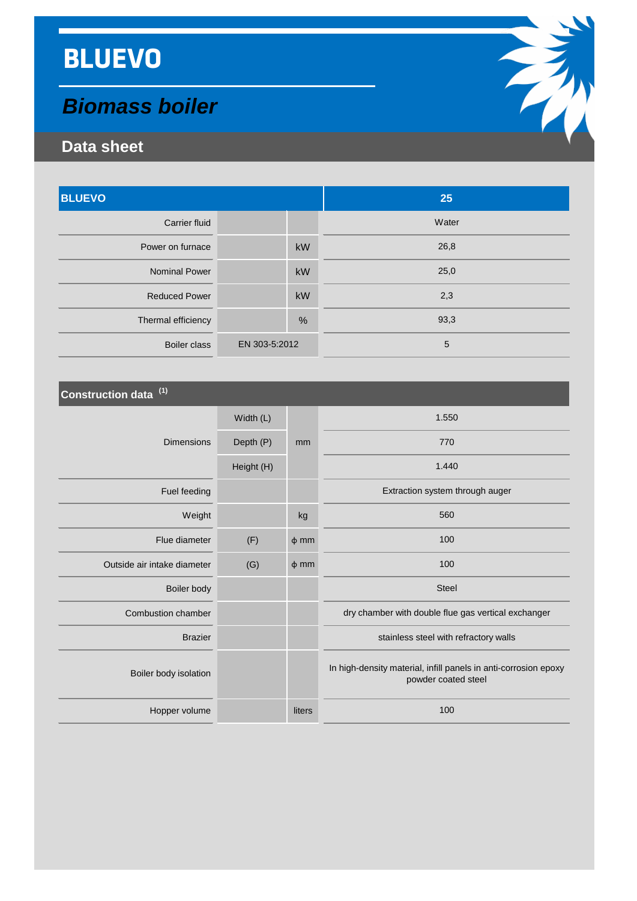# **BLUEVO**

## *Biomass boiler*

### **Data sheet**

| <b>BLUEVO</b>        |               | 25    |
|----------------------|---------------|-------|
| <b>Carrier fluid</b> |               | Water |
| Power on furnace     | kW            | 26,8  |
| <b>Nominal Power</b> | kW            | 25,0  |
| <b>Reduced Power</b> | kW            | 2,3   |
| Thermal efficiency   | $\%$          | 93,3  |
| <b>Boiler class</b>  | EN 303-5:2012 | 5     |

| Construction data <sup>(1)</sup> |            |           |                                                                                        |
|----------------------------------|------------|-----------|----------------------------------------------------------------------------------------|
|                                  | Width (L)  |           | 1.550                                                                                  |
| <b>Dimensions</b>                | Depth (P)  | mm        | 770                                                                                    |
|                                  | Height (H) |           | 1.440                                                                                  |
| Fuel feeding                     |            |           | Extraction system through auger                                                        |
| Weight                           |            | kg        | 560                                                                                    |
| Flue diameter                    | (F)        | $\phi$ mm | 100                                                                                    |
| Outside air intake diameter      | (G)        | $\phi$ mm | 100                                                                                    |
| Boiler body                      |            |           | <b>Steel</b>                                                                           |
| <b>Combustion chamber</b>        |            |           | dry chamber with double flue gas vertical exchanger                                    |
| <b>Brazier</b>                   |            |           | stainless steel with refractory walls                                                  |
| Boiler body isolation            |            |           | In high-density material, infill panels in anti-corrosion epoxy<br>powder coated steel |
| Hopper volume                    |            | liters    | 100                                                                                    |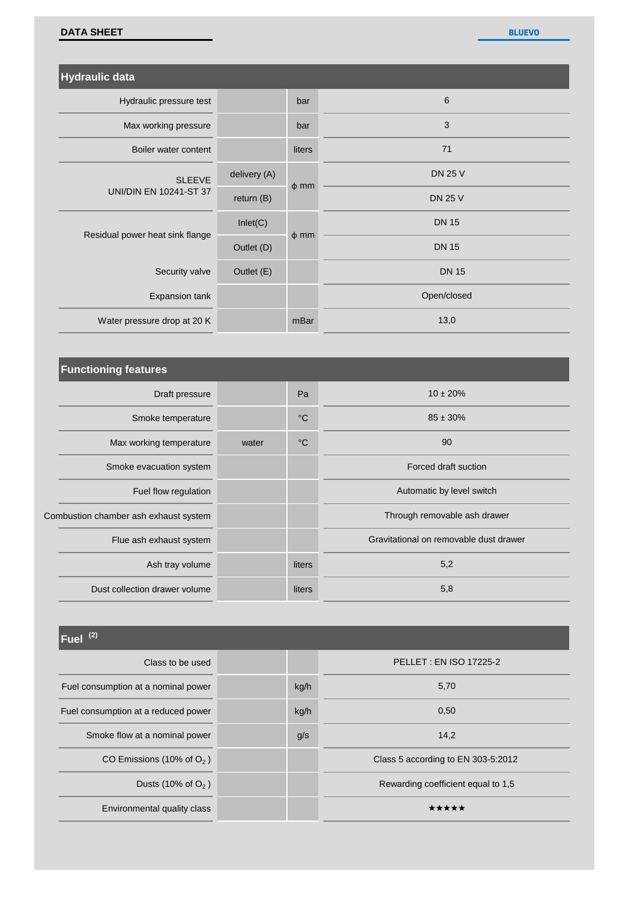#### **DATA SHEET**

**BLUEVO**

| Hydraulic data                                 |              |           |                |
|------------------------------------------------|--------------|-----------|----------------|
| Hydraulic pressure test                        |              | bar       | $6\,$          |
| Max working pressure                           |              | bar       | 3              |
| Boiler water content                           |              | liters    | 71             |
| <b>SLEEVE</b><br><b>UNI/DIN EN 10241-ST 37</b> | delivery (A) | $\phi$ mm | <b>DN 25 V</b> |
|                                                | return $(B)$ |           | <b>DN 25 V</b> |
| Residual power heat sink flange                | Inlet(C)     | $\phi$ mm | <b>DN 15</b>   |
|                                                | Outlet (D)   |           | <b>DN 15</b>   |
| Security valve                                 | Outlet (E)   |           | <b>DN 15</b>   |
| Expansion tank                                 |              |           | Open/closed    |
| Water pressure drop at 20 K                    |              | mBar      | 13,0           |

| <b>Functioning features</b>           |       |                 |                                        |
|---------------------------------------|-------|-----------------|----------------------------------------|
| Draft pressure                        |       | Pa              | $10 \pm 20\%$                          |
| Smoke temperature                     |       | $\rm ^{\circ}C$ | $85 \pm 30\%$                          |
| Max working temperature               | water | $\rm ^{\circ}C$ | 90                                     |
| Smoke evacuation system               |       |                 | Forced draft suction                   |
| Fuel flow regulation                  |       |                 | Automatic by level switch              |
| Combustion chamber ash exhaust system |       |                 | Through removable ash drawer           |
| Flue ash exhaust system               |       |                 | Gravitational on removable dust drawer |
| Ash tray volume                       |       | liters          | 5,2                                    |
| Dust collection drawer volume         |       | liters          | 5,8                                    |

| $ $ Fuel $(2)$                      |      |                                    |
|-------------------------------------|------|------------------------------------|
| Class to be used                    |      | <b>PELLET: EN ISO 17225-2</b>      |
| Fuel consumption at a nominal power | kg/h | 5,70                               |
| Fuel consumption at a reduced power | kg/h | 0,50                               |
| Smoke flow at a nominal power       | g/s  | 14,2                               |
| CO Emissions (10% of $O2$ )         |      | Class 5 according to EN 303-5:2012 |
| Dusts (10% of $O2$ )                |      | Rewarding coefficient equal to 1,5 |
| Environmental quality class         |      | *****                              |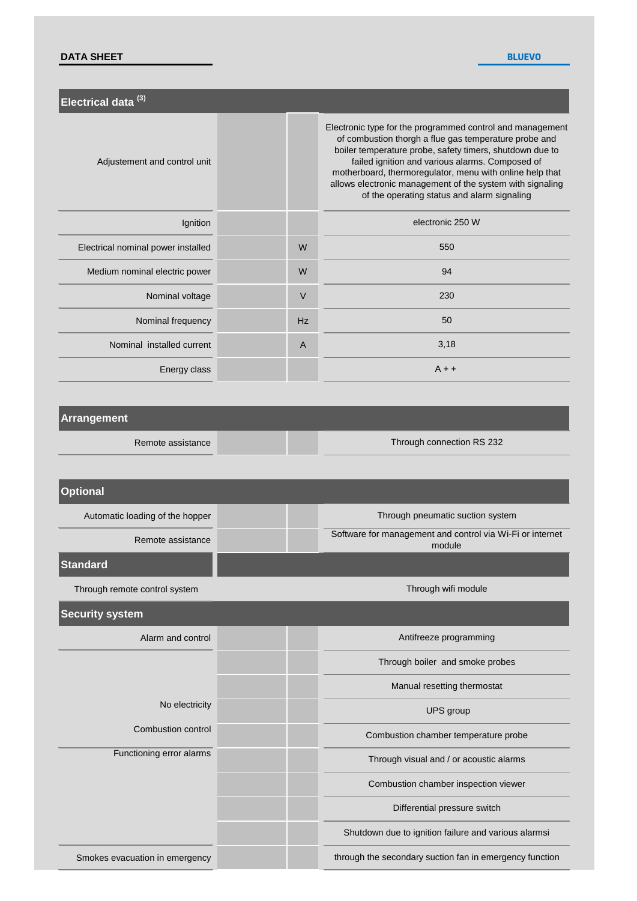#### **DATA SHEET**

**BLUEVO**

| Electrical data <sup>(3)</sup>     |           |                                                                                                                                                                                                                                                                                                                                                                                                           |
|------------------------------------|-----------|-----------------------------------------------------------------------------------------------------------------------------------------------------------------------------------------------------------------------------------------------------------------------------------------------------------------------------------------------------------------------------------------------------------|
| Adjustement and control unit       |           | Electronic type for the programmed control and management<br>of combustion thorgh a flue gas temperature probe and<br>boiler temperature probe, safety timers, shutdown due to<br>failed ignition and various alarms. Composed of<br>motherboard, thermoregulator, menu with online help that<br>allows electronic management of the system with signaling<br>of the operating status and alarm signaling |
| Ignition                           |           | electronic 250 W                                                                                                                                                                                                                                                                                                                                                                                          |
| Electrical nominal power installed | W         | 550                                                                                                                                                                                                                                                                                                                                                                                                       |
| Medium nominal electric power      | W         | 94                                                                                                                                                                                                                                                                                                                                                                                                        |
| Nominal voltage                    | $\vee$    | 230                                                                                                                                                                                                                                                                                                                                                                                                       |
| Nominal frequency                  | <b>Hz</b> | 50                                                                                                                                                                                                                                                                                                                                                                                                        |
| Nominal installed current          | A         | 3,18                                                                                                                                                                                                                                                                                                                                                                                                      |
| Energy class                       |           | $A + +$                                                                                                                                                                                                                                                                                                                                                                                                   |

#### **Arrangement**

Remote assistance

Through connection RS 232

| <b>Optional</b>                 |                                                                     |
|---------------------------------|---------------------------------------------------------------------|
| Automatic loading of the hopper | Through pneumatic suction system                                    |
| Remote assistance               | Software for management and control via Wi-Fi or internet<br>module |
| <b>Standard</b>                 |                                                                     |
| Through remote control system   | Through wifi module                                                 |
| <b>Security system</b>          |                                                                     |
| Alarm and control               | Antifreeze programming                                              |
|                                 | Through boiler and smoke probes                                     |
|                                 | Manual resetting thermostat                                         |
| No electricity                  | UPS group                                                           |
| <b>Combustion control</b>       | Combustion chamber temperature probe                                |
| Functioning error alarms        | Through visual and / or acoustic alarms                             |
|                                 | Combustion chamber inspection viewer                                |
|                                 | Differential pressure switch                                        |
|                                 | Shutdown due to ignition failure and various alarmsi                |
| Smokes evacuation in emergency  | through the secondary suction fan in emergency function             |